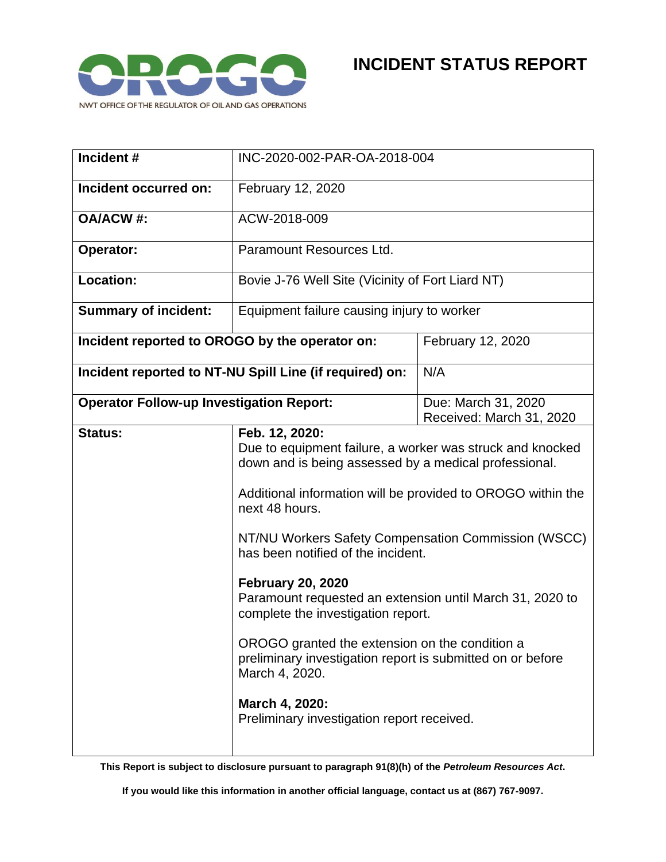

| Incident#                                               | INC-2020-002-PAR-OA-2018-004                                                                                                                                                                                                                                                                                                                                                                                                                                                                                                                                     |                                                 |
|---------------------------------------------------------|------------------------------------------------------------------------------------------------------------------------------------------------------------------------------------------------------------------------------------------------------------------------------------------------------------------------------------------------------------------------------------------------------------------------------------------------------------------------------------------------------------------------------------------------------------------|-------------------------------------------------|
| Incident occurred on:                                   | February 12, 2020                                                                                                                                                                                                                                                                                                                                                                                                                                                                                                                                                |                                                 |
| <b>OA/ACW#:</b>                                         | ACW-2018-009                                                                                                                                                                                                                                                                                                                                                                                                                                                                                                                                                     |                                                 |
| Operator:                                               | Paramount Resources Ltd.                                                                                                                                                                                                                                                                                                                                                                                                                                                                                                                                         |                                                 |
| <b>Location:</b>                                        | Bovie J-76 Well Site (Vicinity of Fort Liard NT)                                                                                                                                                                                                                                                                                                                                                                                                                                                                                                                 |                                                 |
| <b>Summary of incident:</b>                             | Equipment failure causing injury to worker                                                                                                                                                                                                                                                                                                                                                                                                                                                                                                                       |                                                 |
| Incident reported to OROGO by the operator on:          |                                                                                                                                                                                                                                                                                                                                                                                                                                                                                                                                                                  | February 12, 2020                               |
| Incident reported to NT-NU Spill Line (if required) on: |                                                                                                                                                                                                                                                                                                                                                                                                                                                                                                                                                                  | N/A                                             |
| <b>Operator Follow-up Investigation Report:</b>         |                                                                                                                                                                                                                                                                                                                                                                                                                                                                                                                                                                  | Due: March 31, 2020<br>Received: March 31, 2020 |
| Status:                                                 | Feb. 12, 2020:                                                                                                                                                                                                                                                                                                                                                                                                                                                                                                                                                   |                                                 |
|                                                         | Due to equipment failure, a worker was struck and knocked<br>down and is being assessed by a medical professional.<br>Additional information will be provided to OROGO within the<br>next 48 hours.<br>NT/NU Workers Safety Compensation Commission (WSCC)<br>has been notified of the incident.<br><b>February 20, 2020</b><br>Paramount requested an extension until March 31, 2020 to<br>complete the investigation report.<br>OROGO granted the extension on the condition a<br>preliminary investigation report is submitted on or before<br>March 4, 2020. |                                                 |
|                                                         |                                                                                                                                                                                                                                                                                                                                                                                                                                                                                                                                                                  |                                                 |
|                                                         |                                                                                                                                                                                                                                                                                                                                                                                                                                                                                                                                                                  |                                                 |
|                                                         |                                                                                                                                                                                                                                                                                                                                                                                                                                                                                                                                                                  |                                                 |
|                                                         |                                                                                                                                                                                                                                                                                                                                                                                                                                                                                                                                                                  |                                                 |
|                                                         | March 4, 2020:<br>Preliminary investigation report received.                                                                                                                                                                                                                                                                                                                                                                                                                                                                                                     |                                                 |

**This Report is subject to disclosure pursuant to paragraph 91(8)(h) of the** *Petroleum Resources Act***.**

**If you would like this information in another official language, contact us at (867) 767-9097.**